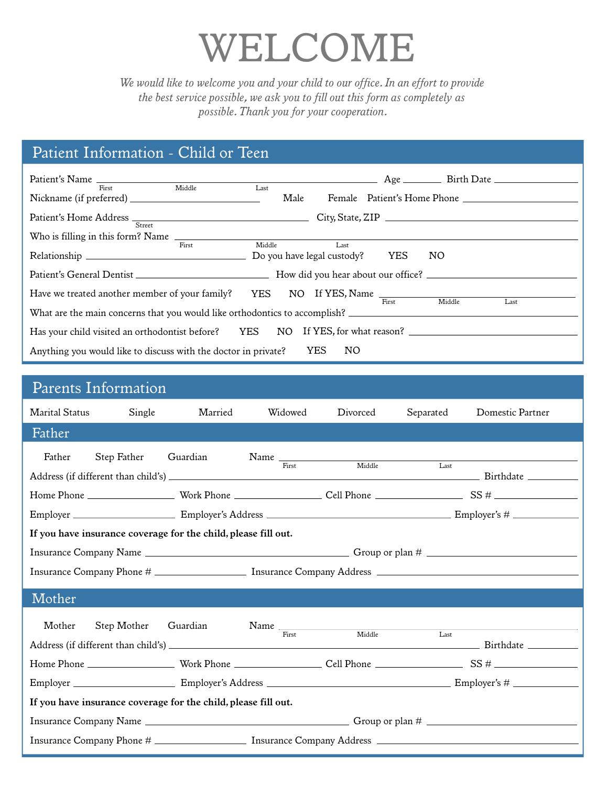# *WELCOME*

*We would like to welcome you and your child to our office. In an effort to provide*  the best service possible, we ask you to fill out this form as completely as *possible.Thank you for your cooperation.*

## *Patient Information - Child or Teen*

| First                                                                                                                                                                    | Middle | $\overline{\phantom{a}}$ Last<br>Male |      |  |     |  |
|--------------------------------------------------------------------------------------------------------------------------------------------------------------------------|--------|---------------------------------------|------|--|-----|--|
| Street                                                                                                                                                                   |        |                                       |      |  |     |  |
| Who is filling in this form? Name                                                                                                                                        |        |                                       |      |  |     |  |
|                                                                                                                                                                          | First  | Middle                                | Last |  | NO. |  |
|                                                                                                                                                                          |        |                                       |      |  |     |  |
|                                                                                                                                                                          |        |                                       |      |  |     |  |
| Have we treated another member of your family? YES NO If YES, Name First Middle La<br>Last<br>What are the main concerns that you would like orthodontics to accomplish? |        |                                       |      |  |     |  |
| Has your child visited an orthodontist before? YES NO If YES, for what reason?                                                                                           |        |                                       |      |  |     |  |
| Anything you would like to discuss with the doctor in private? YES<br>NO.                                                                                                |        |                                       |      |  |     |  |

### *Parents Information*

| <b>Marital Status</b>                                                                                          | Single      | Married  | Widowed | Divorced                        | Separated | Domestic Partner |  |
|----------------------------------------------------------------------------------------------------------------|-------------|----------|---------|---------------------------------|-----------|------------------|--|
| Father                                                                                                         |             |          |         |                                 |           |                  |  |
| Father                                                                                                         | Step Father | Guardian |         | Name First Middle               | Last      |                  |  |
|                                                                                                                |             |          |         |                                 |           |                  |  |
|                                                                                                                |             |          |         |                                 |           |                  |  |
| If you have insurance coverage for the child, please fill out.                                                 |             |          |         |                                 |           |                  |  |
|                                                                                                                |             |          |         |                                 |           |                  |  |
|                                                                                                                |             |          |         |                                 |           |                  |  |
| Mother                                                                                                         |             |          |         |                                 |           |                  |  |
| Mother                                                                                                         | Step Mother | Guardian |         | $Name \nFirst$ Middle<br>Middle | Last      |                  |  |
|                                                                                                                |             |          |         |                                 |           |                  |  |
|                                                                                                                |             |          |         |                                 |           |                  |  |
| If you have insurance coverage for the child, please fill out.                                                 |             |          |         |                                 |           |                  |  |
|                                                                                                                |             |          |         |                                 |           |                  |  |
| Insurance Company Phone # _________________________ Insurance Company Address ________________________________ |             |          |         |                                 |           |                  |  |